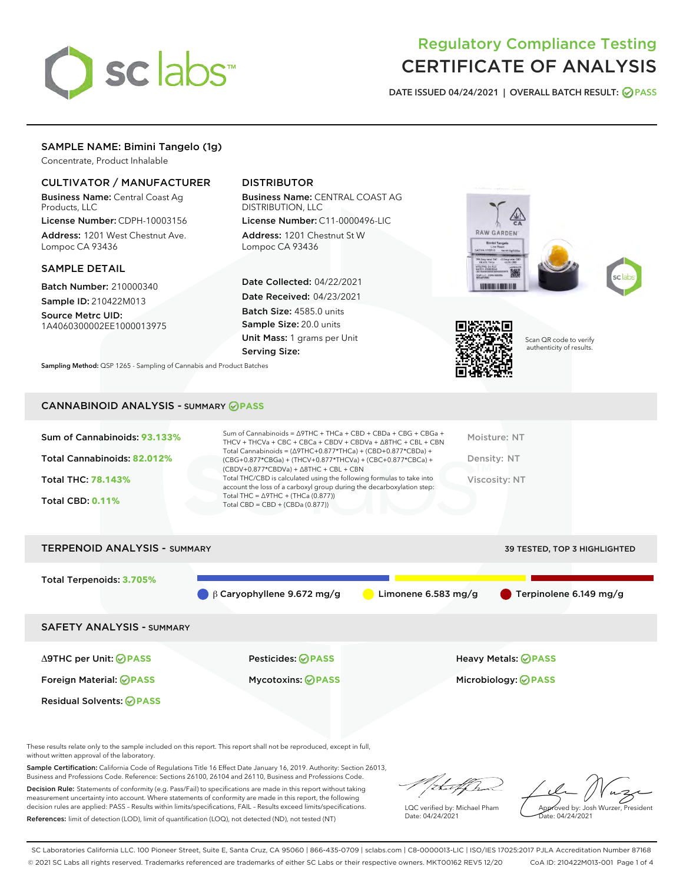

# Regulatory Compliance Testing CERTIFICATE OF ANALYSIS

DATE ISSUED 04/24/2021 | OVERALL BATCH RESULT: @ PASS

# SAMPLE NAME: Bimini Tangelo (1g)

Concentrate, Product Inhalable

## CULTIVATOR / MANUFACTURER

Business Name: Central Coast Ag Products, LLC

License Number: CDPH-10003156 Address: 1201 West Chestnut Ave. Lompoc CA 93436

#### SAMPLE DETAIL

Batch Number: 210000340 Sample ID: 210422M013

Source Metrc UID: 1A4060300002EE1000013975

## DISTRIBUTOR

Business Name: CENTRAL COAST AG DISTRIBUTION, LLC

License Number: C11-0000496-LIC Address: 1201 Chestnut St W Lompoc CA 93436

Date Collected: 04/22/2021 Date Received: 04/23/2021 Batch Size: 4585.0 units Sample Size: 20.0 units Unit Mass: 1 grams per Unit Serving Size:







Scan QR code to verify authenticity of results.

Sampling Method: QSP 1265 - Sampling of Cannabis and Product Batches

## CANNABINOID ANALYSIS - SUMMARY **PASS**

| Sum of Cannabinoids: 93.133%<br>Total Cannabinoids: 82.012%<br><b>Total THC: 78.143%</b><br><b>Total CBD: 0.11%</b> | Sum of Cannabinoids = $\triangle$ 9THC + THCa + CBD + CBDa + CBG + CBGa +<br>THCV + THCVa + CBC + CBCa + CBDV + CBDVa + $\land$ 8THC + CBL + CBN<br>Total Cannabinoids = $(\Delta$ 9THC+0.877*THCa) + (CBD+0.877*CBDa) +<br>(CBG+0.877*CBGa) + (THCV+0.877*THCVa) + (CBC+0.877*CBCa) +<br>$(CBDV+0.877*CBDVa) + \Delta 8THC + CBL + CBN$<br>Total THC/CBD is calculated using the following formulas to take into<br>account the loss of a carboxyl group during the decarboxylation step:<br>Total THC = $\triangle$ 9THC + (THCa (0.877))<br>Total CBD = $CBD + (CBDa (0.877))$ | Moisture: NT<br>Density: NT<br>Viscosity: NT |
|---------------------------------------------------------------------------------------------------------------------|-----------------------------------------------------------------------------------------------------------------------------------------------------------------------------------------------------------------------------------------------------------------------------------------------------------------------------------------------------------------------------------------------------------------------------------------------------------------------------------------------------------------------------------------------------------------------------------|----------------------------------------------|
| <b>TERPENOID ANALYSIS - SUMMARY</b>                                                                                 |                                                                                                                                                                                                                                                                                                                                                                                                                                                                                                                                                                                   | <b>39 TESTED. TOP 3 HIGHLIGHTED</b>          |

Total Terpenoids: **3.705% β Caryophyllene 9.672 mg/g Caryophyllene 6.782 mg/g Caryophyllene 6.749 mg/g** SAFETY ANALYSIS - SUMMARY Δ9THC per Unit: **PASS** Pesticides: **PASS** Heavy Metals: **PASS** Foreign Material: **PASS** Mycotoxins: **PASS** Microbiology: **PASS** Residual Solvents: **PASS** 

These results relate only to the sample included on this report. This report shall not be reproduced, except in full, without written approval of the laboratory.

Sample Certification: California Code of Regulations Title 16 Effect Date January 16, 2019. Authority: Section 26013, Business and Professions Code. Reference: Sections 26100, 26104 and 26110, Business and Professions Code.

Decision Rule: Statements of conformity (e.g. Pass/Fail) to specifications are made in this report without taking measurement uncertainty into account. Where statements of conformity are made in this report, the following decision rules are applied: PASS – Results within limits/specifications, FAIL – Results exceed limits/specifications. References: limit of detection (LOD), limit of quantification (LOQ), not detected (ND), not tested (NT)

that f Is

LQC verified by: Michael Pham Date: 04/24/2021

Approved by: Josh Wurzer, President ate: 04/24/2021

SC Laboratories California LLC. 100 Pioneer Street, Suite E, Santa Cruz, CA 95060 | 866-435-0709 | sclabs.com | C8-0000013-LIC | ISO/IES 17025:2017 PJLA Accreditation Number 87168 © 2021 SC Labs all rights reserved. Trademarks referenced are trademarks of either SC Labs or their respective owners. MKT00162 REV5 12/20 CoA ID: 210422M013-001 Page 1 of 4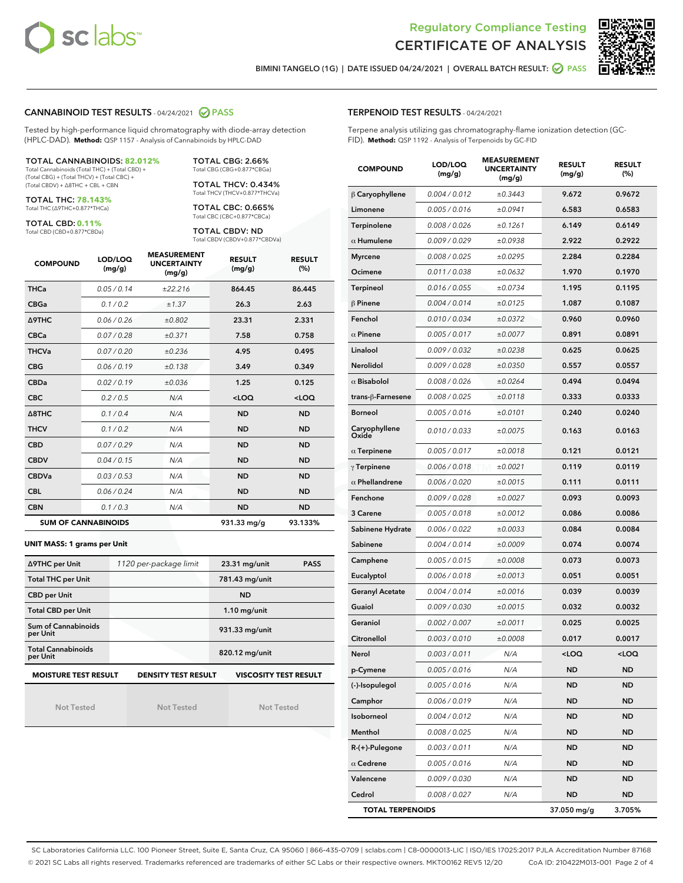



BIMINI TANGELO (1G) | DATE ISSUED 04/24/2021 | OVERALL BATCH RESULT: 2 PASS

## CANNABINOID TEST RESULTS - 04/24/2021 @ PASS

Tested by high-performance liquid chromatography with diode-array detection (HPLC-DAD). **Method:** QSP 1157 - Analysis of Cannabinoids by HPLC-DAD

TOTAL CANNABINOIDS: **82.012%** Total Cannabinoids (Total THC) + (Total CBD) +

(Total CBG) + (Total THCV) + (Total CBC) + (Total CBDV) + ∆8THC + CBL + CBN

TOTAL THC: **78.143%** Total THC (∆9THC+0.877\*THCa)

TOTAL CBD: **0.11%**

Total CBD (CBD+0.877\*CBDa)

TOTAL CBG: 2.66% Total CBG (CBG+0.877\*CBGa)

TOTAL THCV: 0.434% Total THCV (THCV+0.877\*THCVa)

TOTAL CBC: 0.665% Total CBC (CBC+0.877\*CBCa)

TOTAL CBDV: ND Total CBDV (CBDV+0.877\*CBDVa)

| <b>COMPOUND</b>            | LOD/LOQ<br>(mg/g) | <b>MEASUREMENT</b><br><b>UNCERTAINTY</b><br>(mg/g) | <b>RESULT</b><br>(mg/g) | <b>RESULT</b><br>(%) |
|----------------------------|-------------------|----------------------------------------------------|-------------------------|----------------------|
| <b>THCa</b>                | 0.05/0.14         | ±22.216                                            | 864.45                  | 86.445               |
| <b>CBGa</b>                | 0.1 / 0.2         | ±1.37                                              | 26.3                    | 2.63                 |
| <b>A9THC</b>               | 0.06 / 0.26       | ±0.802                                             | 23.31                   | 2.331                |
| <b>CBCa</b>                | 0.07 / 0.28       | ±0.371                                             | 7.58                    | 0.758                |
| <b>THCVa</b>               | 0.07/0.20         | ±0.236                                             | 4.95                    | 0.495                |
| <b>CBG</b>                 | 0.06/0.19         | ±0.138                                             | 3.49                    | 0.349                |
| <b>CBDa</b>                | 0.02/0.19         | ±0.036                                             | 1.25                    | 0.125                |
| <b>CBC</b>                 | 0.2 / 0.5         | N/A                                                | $<$ LOQ                 | $<$ LOQ              |
| $\triangle$ 8THC           | 0.1/0.4           | N/A                                                | <b>ND</b>               | <b>ND</b>            |
| <b>THCV</b>                | 0.1/0.2           | N/A                                                | <b>ND</b>               | <b>ND</b>            |
| <b>CBD</b>                 | 0.07/0.29         | N/A                                                | <b>ND</b>               | <b>ND</b>            |
| <b>CBDV</b>                | 0.04 / 0.15       | N/A                                                | <b>ND</b>               | <b>ND</b>            |
| <b>CBDVa</b>               | 0.03/0.53         | N/A                                                | <b>ND</b>               | <b>ND</b>            |
| <b>CBL</b>                 | 0.06 / 0.24       | N/A                                                | <b>ND</b>               | <b>ND</b>            |
| <b>CBN</b>                 | 0.1/0.3           | N/A                                                | <b>ND</b>               | <b>ND</b>            |
| <b>SUM OF CANNABINOIDS</b> |                   |                                                    | 931.33 mg/g             | 93.133%              |

#### **UNIT MASS: 1 grams per Unit**

| ∆9THC per Unit                                                                            | 1120 per-package limit | 23.31 mg/unit<br><b>PASS</b> |  |  |  |
|-------------------------------------------------------------------------------------------|------------------------|------------------------------|--|--|--|
| <b>Total THC per Unit</b>                                                                 |                        | 781.43 mg/unit               |  |  |  |
| <b>CBD per Unit</b>                                                                       |                        | <b>ND</b>                    |  |  |  |
| <b>Total CBD per Unit</b>                                                                 |                        | $1.10$ mg/unit               |  |  |  |
| Sum of Cannabinoids<br>per Unit                                                           |                        | 931.33 mg/unit               |  |  |  |
| <b>Total Cannabinoids</b><br>per Unit                                                     |                        | 820.12 mg/unit               |  |  |  |
| <b>MOISTURE TEST RESULT</b><br><b>DENSITY TEST RESULT</b><br><b>VISCOSITY TEST RESULT</b> |                        |                              |  |  |  |

Not Tested

Not Tested

Not Tested

Terpene analysis utilizing gas chromatography-flame ionization detection (GC-FID). **Method:** QSP 1192 - Analysis of Terpenoids by GC-FID

| <b>COMPOUND</b>         | LOD/LOQ<br>(mg/g) | <b>MEASUREMENT</b><br><b>UNCERTAINTY</b><br>(mg/g) | <b>RESULT</b><br>(mg/g) | <b>RESULT</b><br>$(\%)$ |
|-------------------------|-------------------|----------------------------------------------------|-------------------------|-------------------------|
| $\beta$ Caryophyllene   | 0.004 / 0.012     | ±0.3443                                            | 9.672                   | 0.9672                  |
| Limonene                | 0.005 / 0.016     | ±0.0941                                            | 6.583                   | 0.6583                  |
| Terpinolene             | 0.008 / 0.026     | ±0.1261                                            | 6.149                   | 0.6149                  |
| $\alpha$ Humulene       | 0.009 / 0.029     | ±0.0938                                            | 2.922                   | 0.2922                  |
| <b>Myrcene</b>          | 0.008 / 0.025     | ±0.0295                                            | 2.284                   | 0.2284                  |
| Ocimene                 | 0.011 / 0.038     | ±0.0632                                            | 1.970                   | 0.1970                  |
| <b>Terpineol</b>        | 0.016 / 0.055     | ±0.0734                                            | 1.195                   | 0.1195                  |
| $\beta$ Pinene          | 0.004 / 0.014     | ±0.0125                                            | 1.087                   | 0.1087                  |
| Fenchol                 | 0.010 / 0.034     | ±0.0372                                            | 0.960                   | 0.0960                  |
| $\alpha$ Pinene         | 0.005 / 0.017     | ±0.0077                                            | 0.891                   | 0.0891                  |
| Linalool                | 0.009 / 0.032     | ±0.0238                                            | 0.625                   | 0.0625                  |
| Nerolidol               | 0.009 / 0.028     | ±0.0350                                            | 0.557                   | 0.0557                  |
| $\alpha$ Bisabolol      | 0.008 / 0.026     | ±0.0264                                            | 0.494                   | 0.0494                  |
| trans-β-Farnesene       | 0.008 / 0.025     | ±0.0118                                            | 0.333                   | 0.0333                  |
| <b>Borneol</b>          | 0.005 / 0.016     | ±0.0101                                            | 0.240                   | 0.0240                  |
| Caryophyllene<br>Oxide  | 0.010 / 0.033     | ±0.0075                                            | 0.163                   | 0.0163                  |
| $\alpha$ Terpinene      | 0.005 / 0.017     | ±0.0018                                            | 0.121                   | 0.0121                  |
| $\gamma$ Terpinene      | 0.006 / 0.018     | ±0.0021                                            | 0.119                   | 0.0119                  |
| $\alpha$ Phellandrene   | 0.006 / 0.020     | ±0.0015                                            | 0.111                   | 0.0111                  |
| Fenchone                | 0.009 / 0.028     | ±0.0027                                            | 0.093                   | 0.0093                  |
| 3 Carene                | 0.005 / 0.018     | ±0.0012                                            | 0.086                   | 0.0086                  |
| Sabinene Hydrate        | 0.006 / 0.022     | ±0.0033                                            | 0.084                   | 0.0084                  |
| Sabinene                | 0.004 / 0.014     | ±0.0009                                            | 0.074                   | 0.0074                  |
| Camphene                | 0.005 / 0.015     | ±0.0008                                            | 0.073                   | 0.0073                  |
| Eucalyptol              | 0.006 / 0.018     | ±0.0013                                            | 0.051                   | 0.0051                  |
| <b>Geranyl Acetate</b>  | 0.004 / 0.014     | ±0.0016                                            | 0.039                   | 0.0039                  |
| Guaiol                  | 0.009 / 0.030     | ±0.0015                                            | 0.032                   | 0.0032                  |
| Geraniol                | 0.002 / 0.007     | ±0.0011                                            | 0.025                   | 0.0025                  |
| Citronellol             | 0.003 / 0.010     | ±0.0008                                            | 0.017                   | 0.0017                  |
| Nerol                   | 0.003 / 0.011     | N/A                                                | <1 OO                   | <100                    |
| p-Cymene                | 0.005 / 0.016     | N/A                                                | <b>ND</b>               | <b>ND</b>               |
| (-)-Isopulegol          | 0.005 / 0.016     | N/A                                                | ND                      | ND                      |
| Camphor                 | 0.006 / 0.019     | N/A                                                | ND                      | ND                      |
| Isoborneol              | 0.004 / 0.012     | N/A                                                | <b>ND</b>               | ND                      |
| Menthol                 | 0.008 / 0.025     | N/A                                                | ND                      | ND                      |
| $R-(+)$ -Pulegone       | 0.003 / 0.011     | N/A                                                | ND                      | ND                      |
| $\alpha$ Cedrene        | 0.005 / 0.016     | N/A                                                | ND                      | <b>ND</b>               |
| Valencene               | 0.009 / 0.030     | N/A                                                | ND                      | ND                      |
| Cedrol                  | 0.008 / 0.027     | N/A                                                | ND                      | ND                      |
| <b>TOTAL TERPENOIDS</b> |                   |                                                    | 37.050 mg/g             | 3.705%                  |

SC Laboratories California LLC. 100 Pioneer Street, Suite E, Santa Cruz, CA 95060 | 866-435-0709 | sclabs.com | C8-0000013-LIC | ISO/IES 17025:2017 PJLA Accreditation Number 87168 © 2021 SC Labs all rights reserved. Trademarks referenced are trademarks of either SC Labs or their respective owners. MKT00162 REV5 12/20 CoA ID: 210422M013-001 Page 2 of 4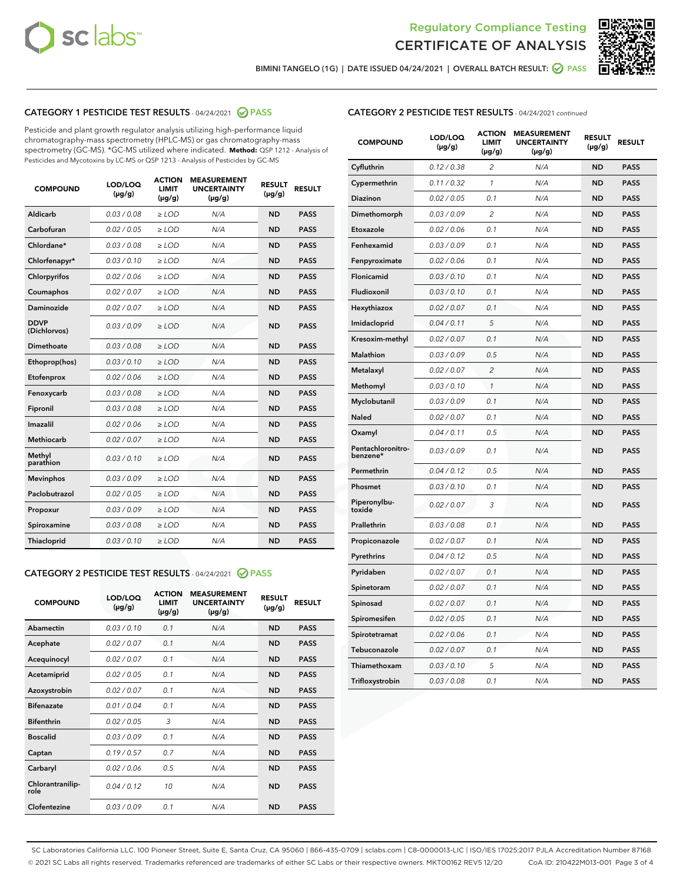



BIMINI TANGELO (1G) | DATE ISSUED 04/24/2021 | OVERALL BATCH RESULT: @ PASS

## CATEGORY 1 PESTICIDE TEST RESULTS - 04/24/2021 @ PASS

Pesticide and plant growth regulator analysis utilizing high-performance liquid chromatography-mass spectrometry (HPLC-MS) or gas chromatography-mass spectrometry (GC-MS). \*GC-MS utilized where indicated. **Method:** QSP 1212 - Analysis of Pesticides and Mycotoxins by LC-MS or QSP 1213 - Analysis of Pesticides by GC-MS

| <b>COMPOUND</b>             | LOD/LOQ<br>$(\mu g/g)$ | <b>ACTION</b><br><b>LIMIT</b><br>$(\mu g/g)$ | <b>MEASUREMENT</b><br><b>UNCERTAINTY</b><br>$(\mu g/g)$ | <b>RESULT</b><br>$(\mu g/g)$ | <b>RESULT</b> |
|-----------------------------|------------------------|----------------------------------------------|---------------------------------------------------------|------------------------------|---------------|
| Aldicarb                    | 0.03 / 0.08            | $\ge$ LOD                                    | N/A                                                     | <b>ND</b>                    | <b>PASS</b>   |
| Carbofuran                  | 0.02/0.05              | $\ge$ LOD                                    | N/A                                                     | <b>ND</b>                    | <b>PASS</b>   |
| Chlordane*                  | 0.03 / 0.08            | $\ge$ LOD                                    | N/A                                                     | <b>ND</b>                    | <b>PASS</b>   |
| Chlorfenapyr*               | 0.03/0.10              | $\ge$ LOD                                    | N/A                                                     | <b>ND</b>                    | <b>PASS</b>   |
| Chlorpyrifos                | 0.02 / 0.06            | $\ge$ LOD                                    | N/A                                                     | <b>ND</b>                    | <b>PASS</b>   |
| Coumaphos                   | 0.02 / 0.07            | $>$ LOD                                      | N/A                                                     | <b>ND</b>                    | <b>PASS</b>   |
| Daminozide                  | 0.02 / 0.07            | $\ge$ LOD                                    | N/A                                                     | <b>ND</b>                    | <b>PASS</b>   |
| <b>DDVP</b><br>(Dichlorvos) | 0.03/0.09              | $\ge$ LOD                                    | N/A                                                     | <b>ND</b>                    | <b>PASS</b>   |
| Dimethoate                  | 0.03 / 0.08            | $>$ LOD                                      | N/A                                                     | <b>ND</b>                    | <b>PASS</b>   |
| Ethoprop(hos)               | 0.03/0.10              | $\ge$ LOD                                    | N/A                                                     | <b>ND</b>                    | <b>PASS</b>   |
| Etofenprox                  | 0.02 / 0.06            | $\ge$ LOD                                    | N/A                                                     | <b>ND</b>                    | <b>PASS</b>   |
| Fenoxycarb                  | 0.03 / 0.08            | $>$ LOD                                      | N/A                                                     | <b>ND</b>                    | <b>PASS</b>   |
| Fipronil                    | 0.03/0.08              | $\ge$ LOD                                    | N/A                                                     | <b>ND</b>                    | <b>PASS</b>   |
| Imazalil                    | 0.02 / 0.06            | $>$ LOD                                      | N/A                                                     | <b>ND</b>                    | <b>PASS</b>   |
| Methiocarb                  | 0.02 / 0.07            | $\ge$ LOD                                    | N/A                                                     | <b>ND</b>                    | <b>PASS</b>   |
| Methyl<br>parathion         | 0.03/0.10              | $\ge$ LOD                                    | N/A                                                     | <b>ND</b>                    | <b>PASS</b>   |
| <b>Mevinphos</b>            | 0.03/0.09              | $\ge$ LOD                                    | N/A                                                     | <b>ND</b>                    | <b>PASS</b>   |
| Paclobutrazol               | 0.02 / 0.05            | $\ge$ LOD                                    | N/A                                                     | <b>ND</b>                    | <b>PASS</b>   |
| Propoxur                    | 0.03/0.09              | $\ge$ LOD                                    | N/A                                                     | <b>ND</b>                    | <b>PASS</b>   |
| Spiroxamine                 | 0.03 / 0.08            | $\ge$ LOD                                    | N/A                                                     | <b>ND</b>                    | <b>PASS</b>   |
| Thiacloprid                 | 0.03/0.10              | $\ge$ LOD                                    | N/A                                                     | <b>ND</b>                    | <b>PASS</b>   |

#### CATEGORY 2 PESTICIDE TEST RESULTS - 04/24/2021 @ PASS

| <b>COMPOUND</b>          | LOD/LOQ<br>$(\mu g/g)$ | <b>ACTION</b><br><b>LIMIT</b><br>$(\mu g/g)$ | <b>MEASUREMENT</b><br><b>UNCERTAINTY</b><br>$(\mu g/g)$ | <b>RESULT</b><br>$(\mu g/g)$ | <b>RESULT</b> |
|--------------------------|------------------------|----------------------------------------------|---------------------------------------------------------|------------------------------|---------------|
| Abamectin                | 0.03/0.10              | 0.1                                          | N/A                                                     | <b>ND</b>                    | <b>PASS</b>   |
| Acephate                 | 0.02/0.07              | 0.1                                          | N/A                                                     | <b>ND</b>                    | <b>PASS</b>   |
| Acequinocyl              | 0.02/0.07              | 0.1                                          | N/A                                                     | <b>ND</b>                    | <b>PASS</b>   |
| Acetamiprid              | 0.02/0.05              | 0.1                                          | N/A                                                     | <b>ND</b>                    | <b>PASS</b>   |
| Azoxystrobin             | 0.02/0.07              | 0.1                                          | N/A                                                     | <b>ND</b>                    | <b>PASS</b>   |
| <b>Bifenazate</b>        | 0.01/0.04              | 0.1                                          | N/A                                                     | <b>ND</b>                    | <b>PASS</b>   |
| <b>Bifenthrin</b>        | 0.02 / 0.05            | 3                                            | N/A                                                     | <b>ND</b>                    | <b>PASS</b>   |
| <b>Boscalid</b>          | 0.03/0.09              | 0.1                                          | N/A                                                     | <b>ND</b>                    | <b>PASS</b>   |
| Captan                   | 0.19/0.57              | 0.7                                          | N/A                                                     | <b>ND</b>                    | <b>PASS</b>   |
| Carbaryl                 | 0.02/0.06              | 0.5                                          | N/A                                                     | <b>ND</b>                    | <b>PASS</b>   |
| Chlorantranilip-<br>role | 0.04/0.12              | 10                                           | N/A                                                     | <b>ND</b>                    | <b>PASS</b>   |
| Clofentezine             | 0.03/0.09              | 0.1                                          | N/A                                                     | <b>ND</b>                    | <b>PASS</b>   |

## CATEGORY 2 PESTICIDE TEST RESULTS - 04/24/2021 continued

| <b>COMPOUND</b>               | LOD/LOQ<br>(µg/g) | <b>ACTION</b><br><b>LIMIT</b><br>$(\mu g/g)$ | <b>MEASUREMENT</b><br><b>UNCERTAINTY</b><br>$(\mu g/g)$ | <b>RESULT</b><br>(µg/g) | <b>RESULT</b> |
|-------------------------------|-------------------|----------------------------------------------|---------------------------------------------------------|-------------------------|---------------|
| Cyfluthrin                    | 0.12 / 0.38       | $\overline{c}$                               | N/A                                                     | ND                      | <b>PASS</b>   |
| Cypermethrin                  | 0.11 / 0.32       | $\mathcal{I}$                                | N/A                                                     | ND                      | <b>PASS</b>   |
| <b>Diazinon</b>               | 0.02 / 0.05       | 0.1                                          | N/A                                                     | <b>ND</b>               | <b>PASS</b>   |
| Dimethomorph                  | 0.03 / 0.09       | 2                                            | N/A                                                     | ND                      | <b>PASS</b>   |
| Etoxazole                     | 0.02 / 0.06       | 0.1                                          | N/A                                                     | ND                      | <b>PASS</b>   |
| Fenhexamid                    | 0.03 / 0.09       | 0.1                                          | N/A                                                     | ND                      | <b>PASS</b>   |
| Fenpyroximate                 | 0.02 / 0.06       | 0.1                                          | N/A                                                     | <b>ND</b>               | <b>PASS</b>   |
| Flonicamid                    | 0.03 / 0.10       | 0.1                                          | N/A                                                     | ND                      | <b>PASS</b>   |
| Fludioxonil                   | 0.03 / 0.10       | 0.1                                          | N/A                                                     | ND                      | <b>PASS</b>   |
| Hexythiazox                   | 0.02 / 0.07       | 0.1                                          | N/A                                                     | ND                      | <b>PASS</b>   |
| Imidacloprid                  | 0.04 / 0.11       | 5                                            | N/A                                                     | ND                      | <b>PASS</b>   |
| Kresoxim-methyl               | 0.02 / 0.07       | 0.1                                          | N/A                                                     | ND                      | <b>PASS</b>   |
| Malathion                     | 0.03 / 0.09       | 0.5                                          | N/A                                                     | ND                      | <b>PASS</b>   |
| Metalaxyl                     | 0.02 / 0.07       | $\overline{c}$                               | N/A                                                     | ND                      | <b>PASS</b>   |
| Methomyl                      | 0.03 / 0.10       | $\mathbf{1}$                                 | N/A                                                     | ND                      | <b>PASS</b>   |
| Myclobutanil                  | 0.03 / 0.09       | 0.1                                          | N/A                                                     | <b>ND</b>               | <b>PASS</b>   |
| Naled                         | 0.02 / 0.07       | 0.1                                          | N/A                                                     | ND                      | <b>PASS</b>   |
| Oxamyl                        | 0.04 / 0.11       | 0.5                                          | N/A                                                     | ND                      | PASS          |
| Pentachloronitro-<br>benzene* | 0.03 / 0.09       | 0.1                                          | N/A                                                     | ND                      | <b>PASS</b>   |
| Permethrin                    | 0.04 / 0.12       | 0.5                                          | N/A                                                     | ND                      | <b>PASS</b>   |
| Phosmet                       | 0.03 / 0.10       | 0.1                                          | N/A                                                     | ND                      | <b>PASS</b>   |
| Piperonylbu-<br>toxide        | 0.02 / 0.07       | 3                                            | N/A                                                     | <b>ND</b>               | <b>PASS</b>   |
| Prallethrin                   | 0.03 / 0.08       | 0.1                                          | N/A                                                     | ND                      | <b>PASS</b>   |
| Propiconazole                 | 0.02 / 0.07       | 0.1                                          | N/A                                                     | <b>ND</b>               | <b>PASS</b>   |
| Pyrethrins                    | 0.04 / 0.12       | 0.5                                          | N/A                                                     | ND                      | <b>PASS</b>   |
| Pyridaben                     | 0.02 / 0.07       | 0.1                                          | N/A                                                     | <b>ND</b>               | <b>PASS</b>   |
| Spinetoram                    | 0.02 / 0.07       | 0.1                                          | N/A                                                     | ND                      | <b>PASS</b>   |
| Spinosad                      | 0.02 / 0.07       | 0.1                                          | N/A                                                     | ND                      | <b>PASS</b>   |
| Spiromesifen                  | 0.02 / 0.05       | 0.1                                          | N/A                                                     | <b>ND</b>               | <b>PASS</b>   |
| Spirotetramat                 | 0.02 / 0.06       | 0.1                                          | N/A                                                     | ND                      | <b>PASS</b>   |
| Tebuconazole                  | 0.02 / 0.07       | 0.1                                          | N/A                                                     | ND                      | <b>PASS</b>   |
| Thiamethoxam                  | 0.03 / 0.10       | 5                                            | N/A                                                     | <b>ND</b>               | <b>PASS</b>   |
| Trifloxystrobin               | 0.03 / 0.08       | 0.1                                          | N/A                                                     | <b>ND</b>               | <b>PASS</b>   |

SC Laboratories California LLC. 100 Pioneer Street, Suite E, Santa Cruz, CA 95060 | 866-435-0709 | sclabs.com | C8-0000013-LIC | ISO/IES 17025:2017 PJLA Accreditation Number 87168 © 2021 SC Labs all rights reserved. Trademarks referenced are trademarks of either SC Labs or their respective owners. MKT00162 REV5 12/20 CoA ID: 210422M013-001 Page 3 of 4